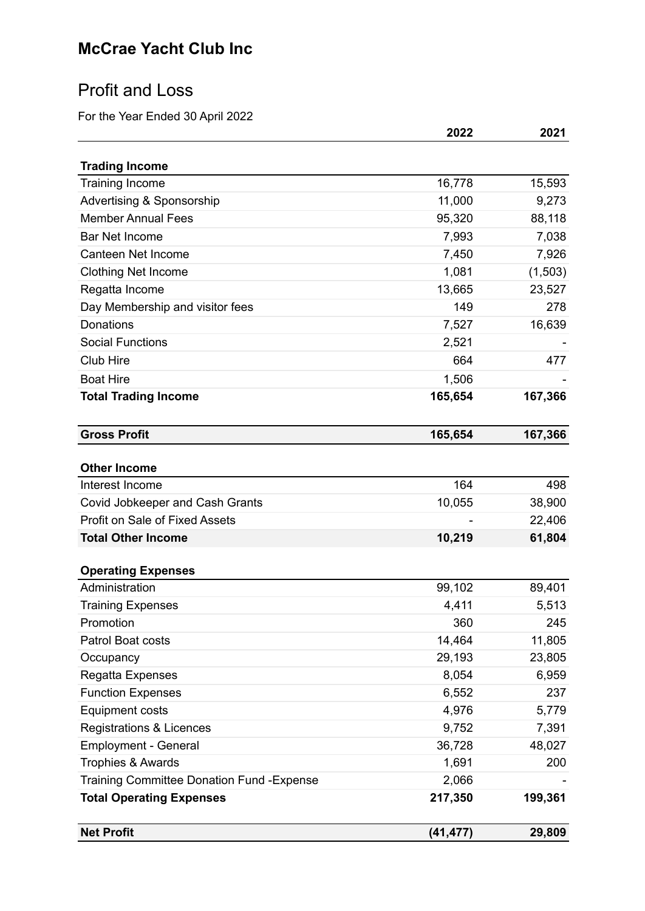# Profit and Loss

For the Year Ended 30 April 2022

| <b>Trading Income</b><br><b>Training Income</b>   | 16,778    | 15,593  |
|---------------------------------------------------|-----------|---------|
| Advertising & Sponsorship                         | 11,000    | 9,273   |
| <b>Member Annual Fees</b>                         | 95,320    | 88,118  |
| <b>Bar Net Income</b>                             | 7,993     | 7,038   |
| Canteen Net Income                                | 7,450     | 7,926   |
| Clothing Net Income                               | 1,081     | (1,503) |
| Regatta Income                                    | 13,665    | 23,527  |
| Day Membership and visitor fees                   | 149       | 278     |
| Donations                                         | 7,527     | 16,639  |
| <b>Social Functions</b>                           | 2,521     |         |
| <b>Club Hire</b>                                  | 664       | 477     |
| <b>Boat Hire</b>                                  | 1,506     |         |
| <b>Total Trading Income</b>                       | 165,654   | 167,366 |
|                                                   |           |         |
| <b>Gross Profit</b>                               | 165,654   | 167,366 |
|                                                   |           |         |
| <b>Other Income</b>                               |           |         |
| Interest Income                                   | 164       | 498     |
| Covid Jobkeeper and Cash Grants                   | 10,055    | 38,900  |
| <b>Profit on Sale of Fixed Assets</b>             |           | 22,406  |
| <b>Total Other Income</b>                         | 10,219    | 61,804  |
| <b>Operating Expenses</b>                         |           |         |
| Administration                                    | 99,102    | 89,401  |
| <b>Training Expenses</b>                          | 4,411     | 5,513   |
| Promotion                                         | 360       | 245     |
| Patrol Boat costs                                 | 14,464    | 11,805  |
| Occupancy                                         | 29,193    | 23,805  |
| Regatta Expenses                                  | 8,054     | 6,959   |
| <b>Function Expenses</b>                          | 6,552     | 237     |
| <b>Equipment costs</b>                            | 4,976     | 5,779   |
| <b>Registrations &amp; Licences</b>               | 9,752     | 7,391   |
| <b>Employment - General</b>                       | 36,728    | 48,027  |
| <b>Trophies &amp; Awards</b>                      | 1,691     | 200     |
| <b>Training Committee Donation Fund - Expense</b> | 2,066     |         |
| <b>Total Operating Expenses</b>                   | 217,350   | 199,361 |
| <b>Net Profit</b>                                 | (41, 477) | 29,809  |
|                                                   |           |         |

**2022 2021**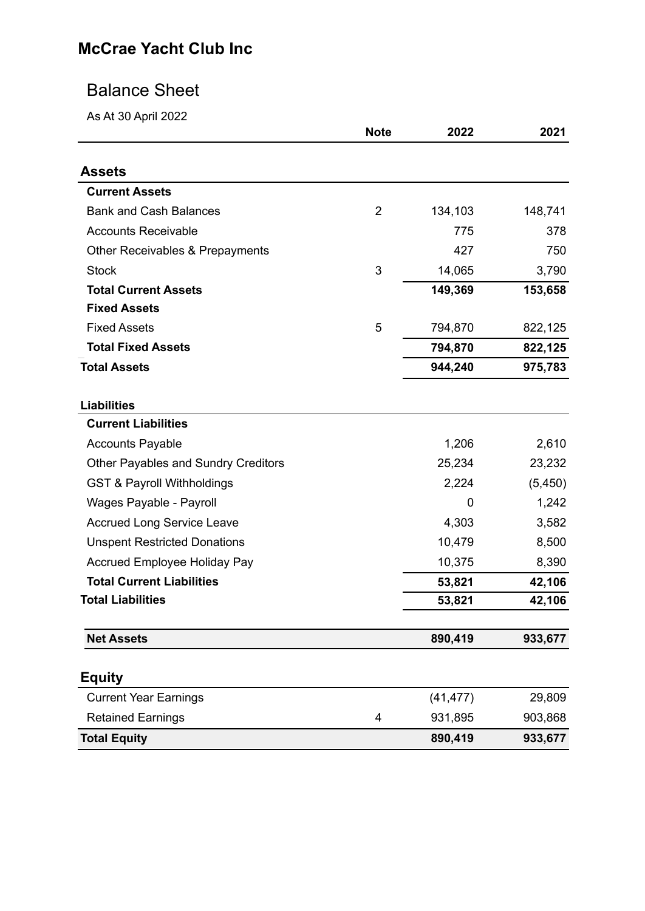## Balance Sheet

As At 30 April 2022

|                                            | <b>Note</b>    | 2022      | 2021     |
|--------------------------------------------|----------------|-----------|----------|
| <b>Assets</b>                              |                |           |          |
| <b>Current Assets</b>                      |                |           |          |
| <b>Bank and Cash Balances</b>              | 2              | 134,103   | 148,741  |
| <b>Accounts Receivable</b>                 |                | 775       | 378      |
|                                            |                |           |          |
| <b>Other Receivables &amp; Prepayments</b> |                | 427       | 750      |
| <b>Stock</b>                               | 3              | 14,065    | 3,790    |
| <b>Total Current Assets</b>                |                | 149,369   | 153,658  |
| <b>Fixed Assets</b><br><b>Fixed Assets</b> | 5              |           |          |
|                                            |                | 794,870   | 822,125  |
| <b>Total Fixed Assets</b>                  |                | 794,870   | 822,125  |
| <b>Total Assets</b>                        |                | 944,240   | 975,783  |
| <b>Liabilities</b>                         |                |           |          |
| <b>Current Liabilities</b>                 |                |           |          |
| <b>Accounts Payable</b>                    |                | 1,206     | 2,610    |
| <b>Other Payables and Sundry Creditors</b> |                | 25,234    | 23,232   |
| <b>GST &amp; Payroll Withholdings</b>      |                | 2,224     | (5, 450) |
| Wages Payable - Payroll                    |                | 0         | 1,242    |
| <b>Accrued Long Service Leave</b>          |                | 4,303     | 3,582    |
| <b>Unspent Restricted Donations</b>        |                | 10,479    | 8,500    |
| <b>Accrued Employee Holiday Pay</b>        |                | 10,375    | 8,390    |
| <b>Total Current Liabilities</b>           |                | 53,821    | 42,106   |
| <b>Total Liabilities</b>                   |                | 53,821    | 42,106   |
| <b>Net Assets</b>                          |                | 890,419   | 933,677  |
| <b>Equity</b>                              |                |           |          |
| <b>Current Year Earnings</b>               |                | (41, 477) | 29,809   |
| <b>Retained Earnings</b>                   | $\overline{4}$ | 931,895   | 903,868  |
| <b>Total Equity</b>                        |                | 890,419   | 933,677  |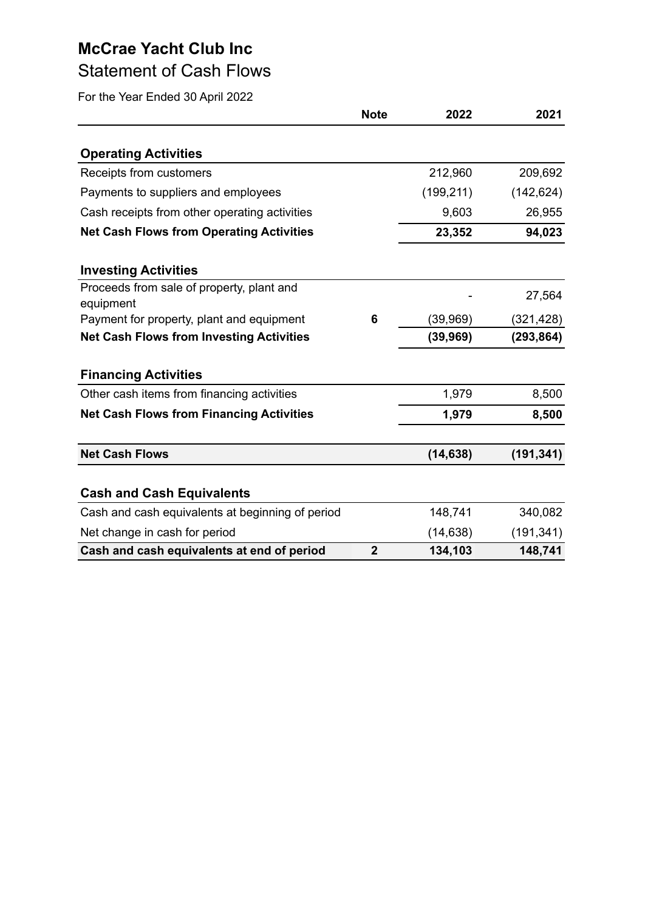## Statement of Cash Flows

|                                                        | <b>Note</b>    | 2022       | 2021       |
|--------------------------------------------------------|----------------|------------|------------|
| <b>Operating Activities</b>                            |                |            |            |
| Receipts from customers                                |                | 212,960    | 209,692    |
| Payments to suppliers and employees                    |                | (199, 211) | (142, 624) |
| Cash receipts from other operating activities          |                | 9,603      | 26,955     |
| <b>Net Cash Flows from Operating Activities</b>        |                | 23,352     | 94,023     |
| <b>Investing Activities</b>                            |                |            |            |
| Proceeds from sale of property, plant and<br>equipment |                |            | 27,564     |
| Payment for property, plant and equipment              | 6              | (39, 969)  | (321, 428) |
| <b>Net Cash Flows from Investing Activities</b>        |                | (39, 969)  | (293, 864) |
| <b>Financing Activities</b>                            |                |            |            |
| Other cash items from financing activities             |                | 1,979      | 8,500      |
| <b>Net Cash Flows from Financing Activities</b>        |                | 1,979      | 8,500      |
| <b>Net Cash Flows</b>                                  |                | (14, 638)  | (191, 341) |
| <b>Cash and Cash Equivalents</b>                       |                |            |            |
| Cash and cash equivalents at beginning of period       |                | 148,741    | 340,082    |
| Net change in cash for period                          |                | (14, 638)  | (191, 341) |
| Cash and cash equivalents at end of period             | $\overline{2}$ | 134,103    | 148,741    |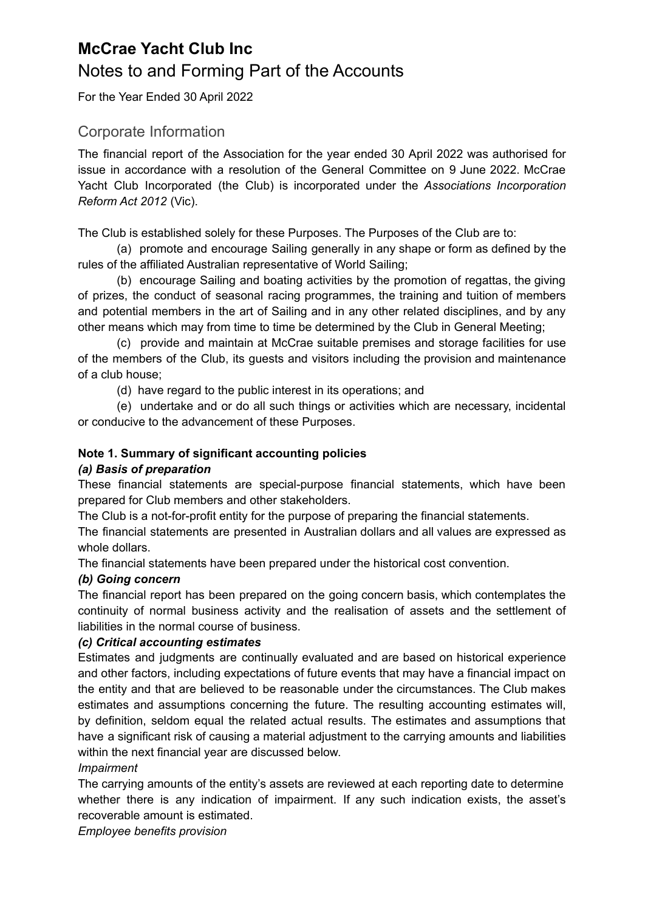## **McCrae Yacht Club Inc** Notes to and Forming Part of the Accounts

For the Year Ended 30 April 2022

### Corporate Information

The financial report of the Association for the year ended 30 April 2022 was authorised for issue in accordance with a resolution of the General Committee on 9 June 2022. McCrae Yacht Club Incorporated (the Club) is incorporated under the *Associations Incorporation Reform Act 2012* (Vic).

The Club is established solely for these Purposes. The Purposes of the Club are to:

(a) promote and encourage Sailing generally in any shape or form as defined by the rules of the affiliated Australian representative of World Sailing;

(b) encourage Sailing and boating activities by the promotion of regattas, the giving of prizes, the conduct of seasonal racing programmes, the training and tuition of members and potential members in the art of Sailing and in any other related disciplines, and by any other means which may from time to time be determined by the Club in General Meeting;

(c) provide and maintain at McCrae suitable premises and storage facilities for use of the members of the Club, its guests and visitors including the provision and maintenance of a club house;

(d) have regard to the public interest in its operations; and

(e) undertake and or do all such things or activities which are necessary, incidental or conducive to the advancement of these Purposes.

### **Note 1. Summary of significant accounting policies**

### *(a) Basis of preparation*

These financial statements are special-purpose financial statements, which have been prepared for Club members and other stakeholders.

The Club is a not-for-profit entity for the purpose of preparing the financial statements.

The financial statements are presented in Australian dollars and all values are expressed as whole dollars.

The financial statements have been prepared under the historical cost convention.

### *(b) Going concern*

The financial report has been prepared on the going concern basis, which contemplates the continuity of normal business activity and the realisation of assets and the settlement of liabilities in the normal course of business.

### *(c) Critical accounting estimates*

Estimates and judgments are continually evaluated and are based on historical experience and other factors, including expectations of future events that may have a financial impact on the entity and that are believed to be reasonable under the circumstances. The Club makes estimates and assumptions concerning the future. The resulting accounting estimates will, by definition, seldom equal the related actual results. The estimates and assumptions that have a significant risk of causing a material adjustment to the carrying amounts and liabilities within the next financial year are discussed below.

### *Impairment*

The carrying amounts of the entity's assets are reviewed at each reporting date to determine whether there is any indication of impairment. If any such indication exists, the asset's recoverable amount is estimated.

*Employee benefits provision*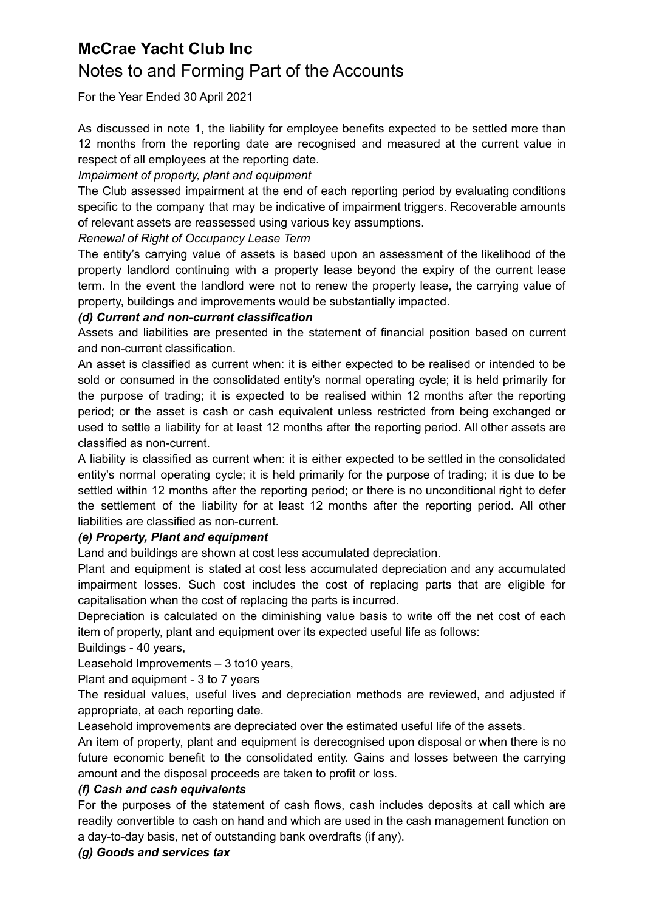### **McCrae Yacht Club Inc** Notes to and Forming Part of the Accounts

For the Year Ended 30 April 2021

As discussed in note 1, the liability for employee benefits expected to be settled more than 12 months from the reporting date are recognised and measured at the current value in respect of all employees at the reporting date.

### *Impairment of property, plant and equipment*

The Club assessed impairment at the end of each reporting period by evaluating conditions specific to the company that may be indicative of impairment triggers. Recoverable amounts of relevant assets are reassessed using various key assumptions.

### *Renewal of Right of Occupancy Lease Term*

The entity's carrying value of assets is based upon an assessment of the likelihood of the property landlord continuing with a property lease beyond the expiry of the current lease term. In the event the landlord were not to renew the property lease, the carrying value of property, buildings and improvements would be substantially impacted.

### *(d) Current and non-current classification*

Assets and liabilities are presented in the statement of financial position based on current and non-current classification.

An asset is classified as current when: it is either expected to be realised or intended to be sold or consumed in the consolidated entity's normal operating cycle; it is held primarily for the purpose of trading; it is expected to be realised within 12 months after the reporting period; or the asset is cash or cash equivalent unless restricted from being exchanged or used to settle a liability for at least 12 months after the reporting period. All other assets are classified as non-current.

A liability is classified as current when: it is either expected to be settled in the consolidated entity's normal operating cycle; it is held primarily for the purpose of trading; it is due to be settled within 12 months after the reporting period; or there is no unconditional right to defer the settlement of the liability for at least 12 months after the reporting period. All other liabilities are classified as non-current.

### *(e) Property, Plant and equipment*

Land and buildings are shown at cost less accumulated depreciation.

Plant and equipment is stated at cost less accumulated depreciation and any accumulated impairment losses. Such cost includes the cost of replacing parts that are eligible for capitalisation when the cost of replacing the parts is incurred.

Depreciation is calculated on the diminishing value basis to write off the net cost of each item of property, plant and equipment over its expected useful life as follows:

### Buildings - 40 years,

Leasehold Improvements – 3 to10 years,

Plant and equipment - 3 to 7 years

The residual values, useful lives and depreciation methods are reviewed, and adjusted if appropriate, at each reporting date.

Leasehold improvements are depreciated over the estimated useful life of the assets.

An item of property, plant and equipment is derecognised upon disposal or when there is no future economic benefit to the consolidated entity. Gains and losses between the carrying amount and the disposal proceeds are taken to profit or loss.

### *(f) Cash and cash equivalents*

For the purposes of the statement of cash flows, cash includes deposits at call which are readily convertible to cash on hand and which are used in the cash management function on a day-to-day basis, net of outstanding bank overdrafts (if any).

### *(g) Goods and services tax*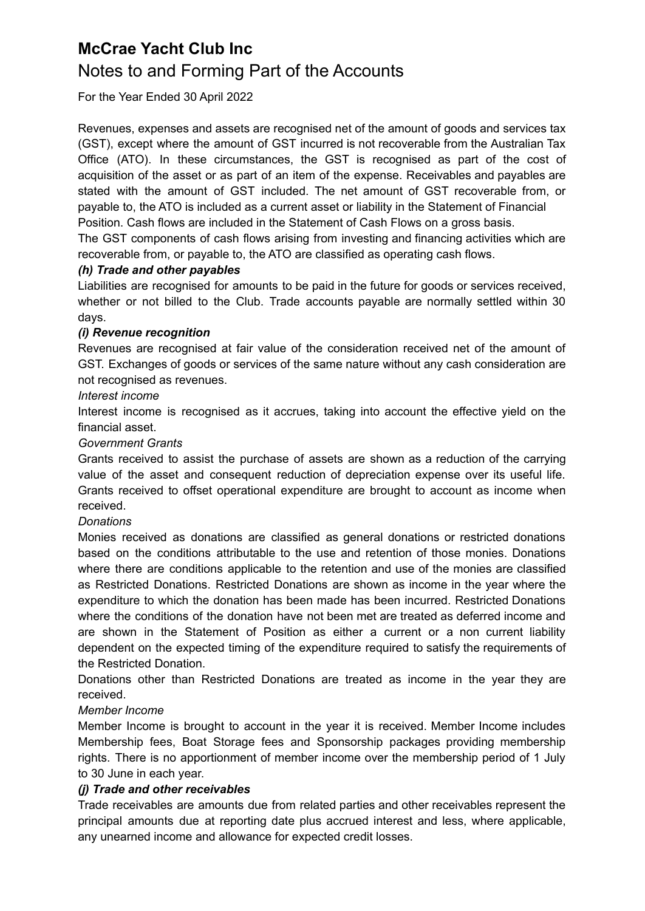### Notes to and Forming Part of the Accounts

For the Year Ended 30 April 2022

Revenues, expenses and assets are recognised net of the amount of goods and services tax (GST), except where the amount of GST incurred is not recoverable from the Australian Tax Office (ATO). In these circumstances, the GST is recognised as part of the cost of acquisition of the asset or as part of an item of the expense. Receivables and payables are stated with the amount of GST included. The net amount of GST recoverable from, or payable to, the ATO is included as a current asset or liability in the Statement of Financial Position. Cash flows are included in the Statement of Cash Flows on a gross basis.

The GST components of cash flows arising from investing and financing activities which are recoverable from, or payable to, the ATO are classified as operating cash flows.

### *(h) Trade and other payables*

Liabilities are recognised for amounts to be paid in the future for goods or services received, whether or not billed to the Club. Trade accounts payable are normally settled within 30 days.

### *(i) Revenue recognition*

Revenues are recognised at fair value of the consideration received net of the amount of GST. Exchanges of goods or services of the same nature without any cash consideration are not recognised as revenues.

### *Interest income*

Interest income is recognised as it accrues, taking into account the effective yield on the financial asset.

### *Government Grants*

Grants received to assist the purchase of assets are shown as a reduction of the carrying value of the asset and consequent reduction of depreciation expense over its useful life. Grants received to offset operational expenditure are brought to account as income when received.

#### *Donations*

Monies received as donations are classified as general donations or restricted donations based on the conditions attributable to the use and retention of those monies. Donations where there are conditions applicable to the retention and use of the monies are classified as Restricted Donations. Restricted Donations are shown as income in the year where the expenditure to which the donation has been made has been incurred. Restricted Donations where the conditions of the donation have not been met are treated as deferred income and are shown in the Statement of Position as either a current or a non current liability dependent on the expected timing of the expenditure required to satisfy the requirements of the Restricted Donation.

Donations other than Restricted Donations are treated as income in the year they are received.

#### *Member Income*

Member Income is brought to account in the year it is received. Member Income includes Membership fees, Boat Storage fees and Sponsorship packages providing membership rights. There is no apportionment of member income over the membership period of 1 July to 30 June in each year.

#### *(j) Trade and other receivables*

Trade receivables are amounts due from related parties and other receivables represent the principal amounts due at reporting date plus accrued interest and less, where applicable, any unearned income and allowance for expected credit losses.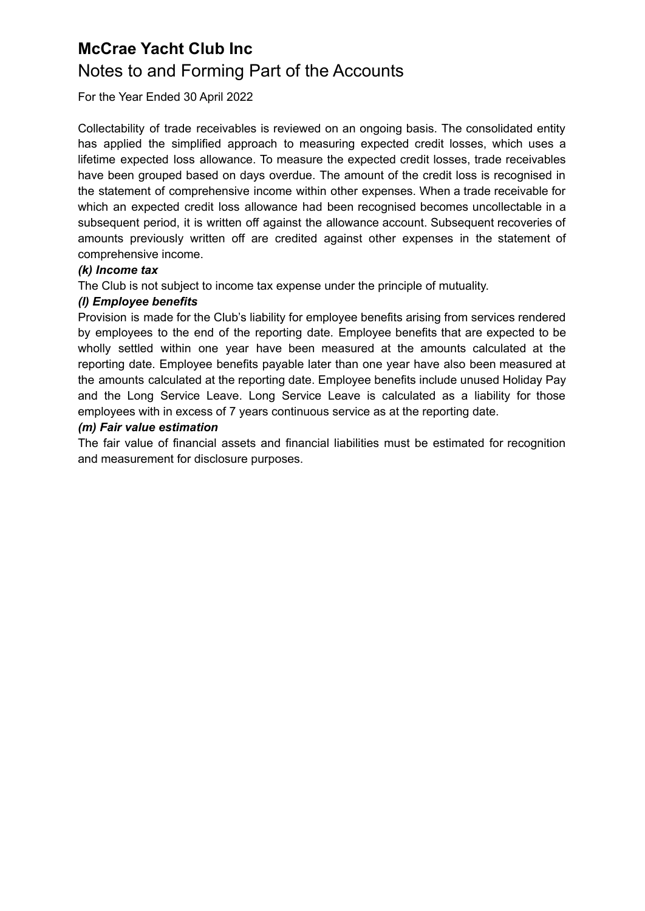### **McCrae Yacht Club Inc** Notes to and Forming Part of the Accounts

For the Year Ended 30 April 2022

Collectability of trade receivables is reviewed on an ongoing basis. The consolidated entity has applied the simplified approach to measuring expected credit losses, which uses a lifetime expected loss allowance. To measure the expected credit losses, trade receivables have been grouped based on days overdue. The amount of the credit loss is recognised in the statement of comprehensive income within other expenses. When a trade receivable for which an expected credit loss allowance had been recognised becomes uncollectable in a subsequent period, it is written off against the allowance account. Subsequent recoveries of amounts previously written off are credited against other expenses in the statement of comprehensive income.

### *(k) Income tax*

The Club is not subject to income tax expense under the principle of mutuality.

### *(l) Employee benefits*

Provision is made for the Club's liability for employee benefits arising from services rendered by employees to the end of the reporting date. Employee benefits that are expected to be wholly settled within one year have been measured at the amounts calculated at the reporting date. Employee benefits payable later than one year have also been measured at the amounts calculated at the reporting date. Employee benefits include unused Holiday Pay and the Long Service Leave. Long Service Leave is calculated as a liability for those employees with in excess of 7 years continuous service as at the reporting date.

#### *(m) Fair value estimation*

The fair value of financial assets and financial liabilities must be estimated for recognition and measurement for disclosure purposes.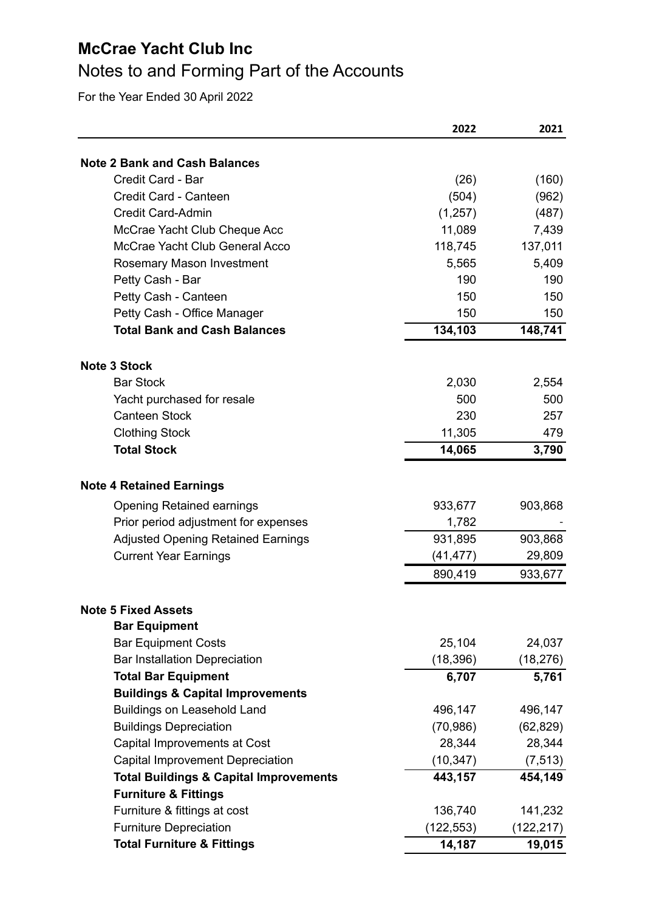# Notes to and Forming Part of the Accounts

|                                                   | 2022          | 2021           |
|---------------------------------------------------|---------------|----------------|
| <b>Note 2 Bank and Cash Balances</b>              |               |                |
| Credit Card - Bar                                 |               |                |
| Credit Card - Canteen                             | (26)<br>(504) | (160)<br>(962) |
| <b>Credit Card-Admin</b>                          | (1,257)       | (487)          |
| McCrae Yacht Club Cheque Acc                      | 11,089        | 7,439          |
| McCrae Yacht Club General Acco                    | 118,745       | 137,011        |
| Rosemary Mason Investment                         | 5,565         | 5,409          |
| Petty Cash - Bar                                  | 190           | 190            |
| Petty Cash - Canteen                              | 150           | 150            |
| Petty Cash - Office Manager                       | 150           | 150            |
| <b>Total Bank and Cash Balances</b>               | 134,103       | 148,741        |
|                                                   |               |                |
| <b>Note 3 Stock</b>                               |               |                |
| <b>Bar Stock</b>                                  | 2,030         | 2,554          |
| Yacht purchased for resale                        | 500           | 500            |
| <b>Canteen Stock</b>                              | 230           | 257            |
| <b>Clothing Stock</b>                             | 11,305        | 479            |
| <b>Total Stock</b>                                | 14,065        | 3,790          |
|                                                   |               |                |
| <b>Note 4 Retained Earnings</b>                   |               |                |
| <b>Opening Retained earnings</b>                  | 933,677       | 903,868        |
| Prior period adjustment for expenses              | 1,782         |                |
| <b>Adjusted Opening Retained Earnings</b>         | 931,895       | 903,868        |
| <b>Current Year Earnings</b>                      | (41, 477)     | 29,809         |
|                                                   | 890,419       | 933,677        |
| <b>Note 5 Fixed Assets</b>                        |               |                |
| <b>Bar Equipment</b>                              |               |                |
| <b>Bar Equipment Costs</b>                        | 25,104        | 24,037         |
| <b>Bar Installation Depreciation</b>              | (18, 396)     | (18, 276)      |
| <b>Total Bar Equipment</b>                        | 6,707         | 5,761          |
| <b>Buildings &amp; Capital Improvements</b>       |               |                |
| Buildings on Leasehold Land                       | 496,147       | 496,147        |
| <b>Buildings Depreciation</b>                     | (70, 986)     | (62, 829)      |
| Capital Improvements at Cost                      | 28,344        | 28,344         |
| Capital Improvement Depreciation                  | (10, 347)     | (7, 513)       |
| <b>Total Buildings &amp; Capital Improvements</b> | 443,157       | 454,149        |
| <b>Furniture &amp; Fittings</b>                   |               |                |
| Furniture & fittings at cost                      | 136,740       | 141,232        |
| <b>Furniture Depreciation</b>                     | (122, 553)    | (122, 217)     |
| <b>Total Furniture &amp; Fittings</b>             | 14,187        | 19,015         |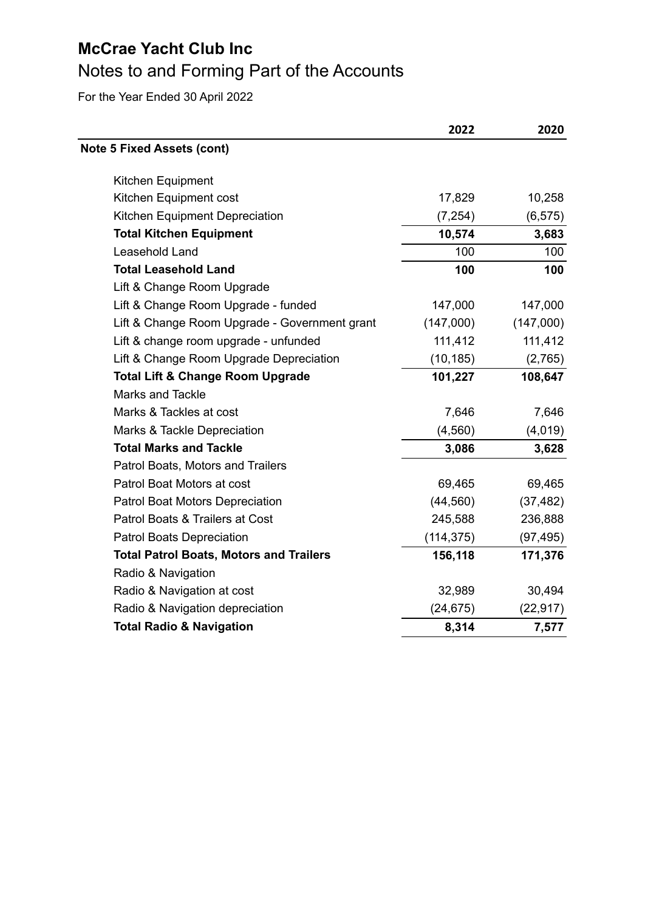# Notes to and Forming Part of the Accounts

|                                                | 2022       | 2020      |
|------------------------------------------------|------------|-----------|
| <b>Note 5 Fixed Assets (cont)</b>              |            |           |
| Kitchen Equipment                              |            |           |
| Kitchen Equipment cost                         | 17,829     | 10,258    |
| Kitchen Equipment Depreciation                 | (7, 254)   | (6, 575)  |
| <b>Total Kitchen Equipment</b>                 | 10,574     | 3,683     |
| Leasehold Land                                 | 100        | 100       |
| <b>Total Leasehold Land</b>                    | 100        | 100       |
| Lift & Change Room Upgrade                     |            |           |
| Lift & Change Room Upgrade - funded            | 147,000    | 147,000   |
| Lift & Change Room Upgrade - Government grant  | (147,000)  | (147,000) |
| Lift & change room upgrade - unfunded          | 111,412    | 111,412   |
| Lift & Change Room Upgrade Depreciation        | (10, 185)  | (2,765)   |
| <b>Total Lift &amp; Change Room Upgrade</b>    | 101,227    | 108,647   |
| <b>Marks and Tackle</b>                        |            |           |
| Marks & Tackles at cost                        | 7,646      | 7,646     |
| Marks & Tackle Depreciation                    | (4, 560)   | (4,019)   |
| <b>Total Marks and Tackle</b>                  | 3,086      | 3,628     |
| Patrol Boats, Motors and Trailers              |            |           |
| Patrol Boat Motors at cost                     | 69,465     | 69,465    |
| Patrol Boat Motors Depreciation                | (44, 560)  | (37, 482) |
| Patrol Boats & Trailers at Cost                | 245,588    | 236,888   |
| <b>Patrol Boats Depreciation</b>               | (114, 375) | (97, 495) |
| <b>Total Patrol Boats, Motors and Trailers</b> | 156,118    | 171,376   |
| Radio & Navigation                             |            |           |
| Radio & Navigation at cost                     | 32,989     | 30,494    |
| Radio & Navigation depreciation                | (24, 675)  | (22, 917) |
| <b>Total Radio &amp; Navigation</b>            | 8,314      | 7,577     |